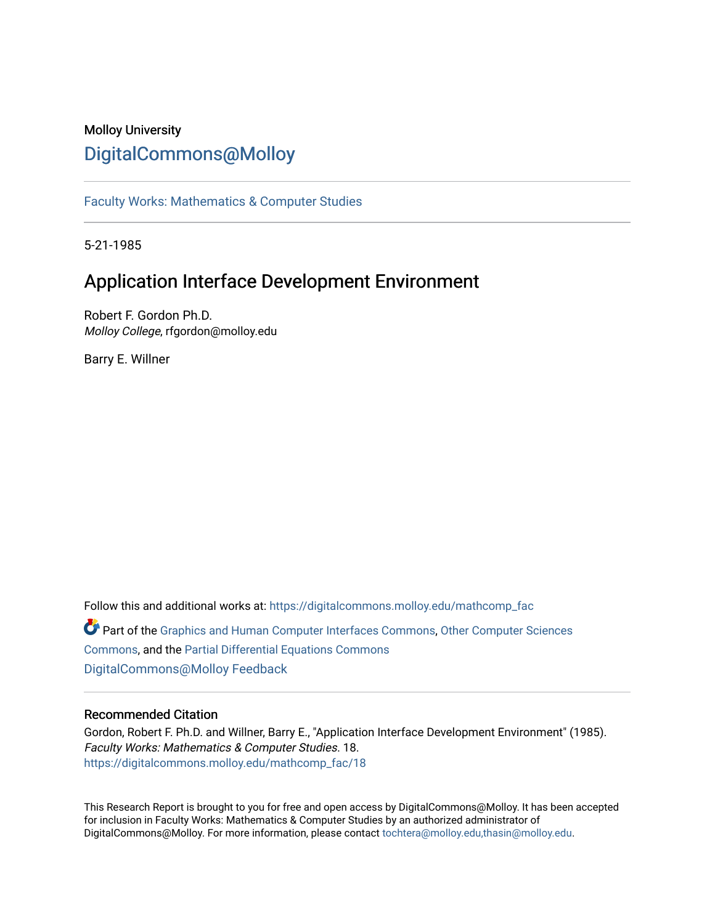# Molloy University [DigitalCommons@Molloy](https://digitalcommons.molloy.edu/)

[Faculty Works: Mathematics & Computer Studies](https://digitalcommons.molloy.edu/mathcomp_fac) 

5-21-1985

# Application Interface Development Environment

Robert F. Gordon Ph.D. Molloy College, rfgordon@molloy.edu

Barry E. Willner

Follow this and additional works at: [https://digitalcommons.molloy.edu/mathcomp\\_fac](https://digitalcommons.molloy.edu/mathcomp_fac?utm_source=digitalcommons.molloy.edu%2Fmathcomp_fac%2F18&utm_medium=PDF&utm_campaign=PDFCoverPages) Part of the [Graphics and Human Computer Interfaces Commons,](https://network.bepress.com/hgg/discipline/146?utm_source=digitalcommons.molloy.edu%2Fmathcomp_fac%2F18&utm_medium=PDF&utm_campaign=PDFCoverPages) [Other Computer Sciences](https://network.bepress.com/hgg/discipline/152?utm_source=digitalcommons.molloy.edu%2Fmathcomp_fac%2F18&utm_medium=PDF&utm_campaign=PDFCoverPages)  [Commons](https://network.bepress.com/hgg/discipline/152?utm_source=digitalcommons.molloy.edu%2Fmathcomp_fac%2F18&utm_medium=PDF&utm_campaign=PDFCoverPages), and the [Partial Differential Equations Commons](https://network.bepress.com/hgg/discipline/120?utm_source=digitalcommons.molloy.edu%2Fmathcomp_fac%2F18&utm_medium=PDF&utm_campaign=PDFCoverPages)  [DigitalCommons@Molloy Feedback](https://molloy.libwizard.com/f/dcfeedback)

# Recommended Citation

Gordon, Robert F. Ph.D. and Willner, Barry E., "Application Interface Development Environment" (1985). Faculty Works: Mathematics & Computer Studies. 18. [https://digitalcommons.molloy.edu/mathcomp\\_fac/18](https://digitalcommons.molloy.edu/mathcomp_fac/18?utm_source=digitalcommons.molloy.edu%2Fmathcomp_fac%2F18&utm_medium=PDF&utm_campaign=PDFCoverPages) 

This Research Report is brought to you for free and open access by DigitalCommons@Molloy. It has been accepted for inclusion in Faculty Works: Mathematics & Computer Studies by an authorized administrator of DigitalCommons@Molloy. For more information, please contact [tochtera@molloy.edu,thasin@molloy.edu.](mailto:tochtera@molloy.edu,thasin@molloy.edu)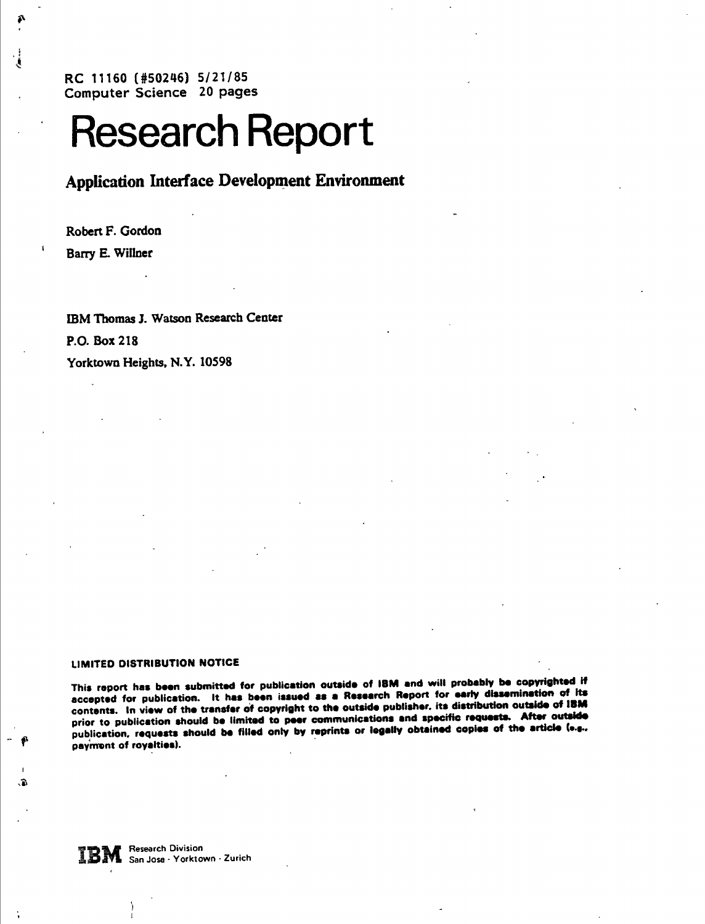**RC 11160 (#50246) 5/21/85 Computer Science 20 pages**

# **Research Report**

Application Interface Development Environment

Robert F. Gordon Barry E. Wiliner

IBM Thomas J. Watson Research Center P.O. Box 218 Yorktown Heights, N.Y. 10598

#### LIMITED DISTRIBUTION NOTICE

This report has been submitted for publication outside of IBM and will probably be copyrighted if This report has been submitted for publication outside of IBM and will probably be copyrighted if<br>accepted for publication. It has been issued as a Research Report for early dissemination of its<br>accepted for publication. I contents. In view of the transfer of copyright to the outside publisher, its distribution outside of IBM prior to publication should be limited to peer communications and specific requests. After outside publication, requests should be filled only by reprints or legally obtained copies of the article (e.g., payment of royalties).

**IBM** Research Division<br>**IBM** San Jose · Yorktown · Zurich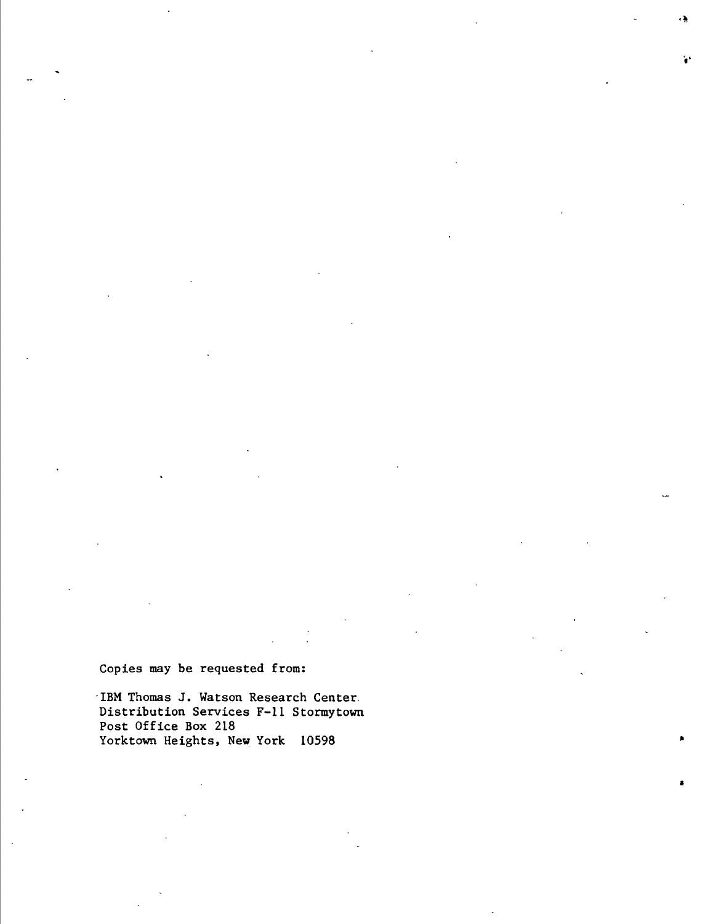**Copies may be requested from:**

**IBM Thomas J. Watson Research Center. Distribution Services F-11 Stormytown Post Office Box 218 Yorktown Heights, New York 10598**

٠,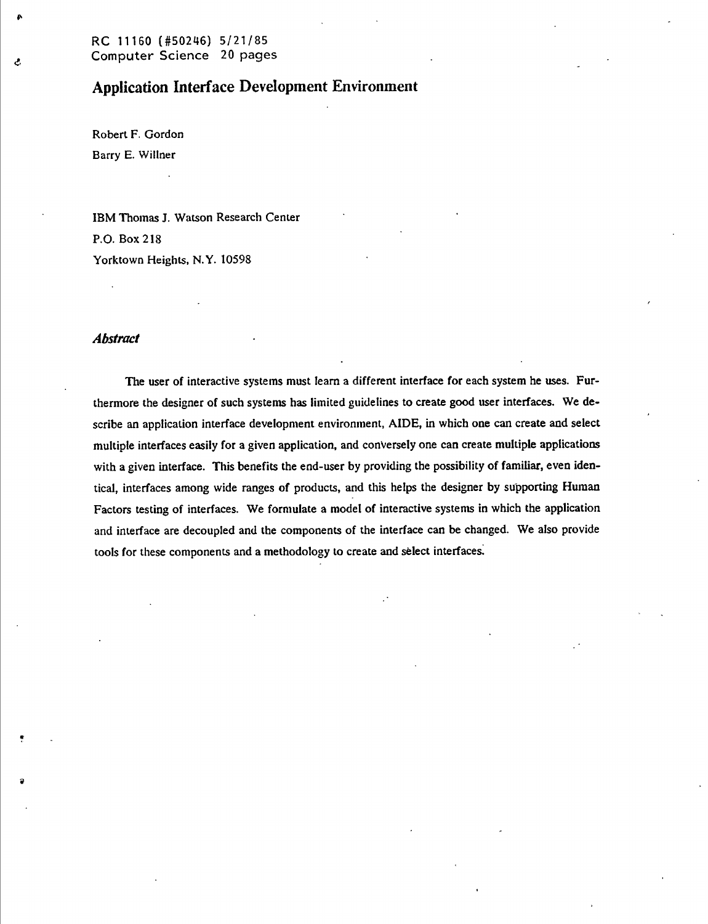# **Applícatíon Interface Development Environment**

Robert F. Gordon Barry E. Wiliner

Ĉ.

IBM Thomas J. Watson Research Center P.O. Box 218 Yorktown Heights, N.Y. 10598

#### *Abstract*

The user of interactive systems must learn a different interface for each system he uses. Furthermore the designer of such systems has limited guidelines to create good user interfaces. We describe an application interface development environment, AIDE, in which one can create and select multiple interfaces easily for a given application, and conversely one can create multiple applications with a given interface. This benefits the end-user by providing the possibility of familiar, even identical, interfaces among wide ranges of products, and this helps the designer by supporting Human Factors testing of interfaces. We formulate a model of interactive systems in which the application and interface are decoupled and the components of the interface can be changed. We also provide tools for these components and a methodology to create and sélect interfaces.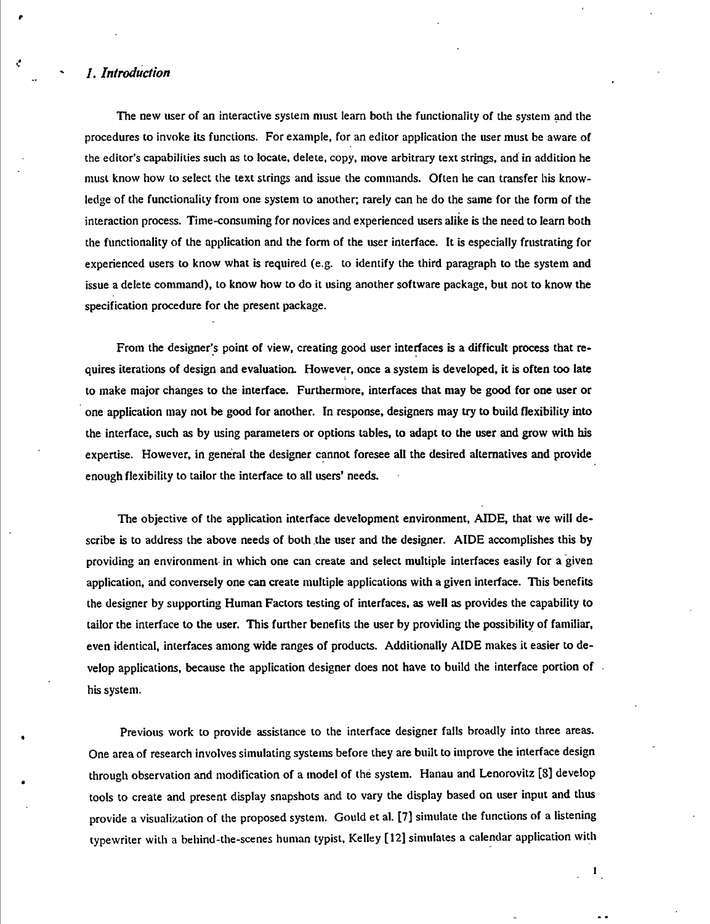## *1. Introduction*

The new user of an interactive system must learn both the functionality of the system and the procedures to invoke its functions. For example, for an editor application the user must be aware of the editor's capabilities such as to locate, delete, copy, move arbitrary text strings, and in addition he must know how to select the text strings and issue the commands. Often he can transfer his knowledge of the functionality from one system to another; rarely can he do the same for the fonn of the interaction process. Time-consuming for novices and experienced users alike is the need to learn both the functionality of the application and the form of the user interface. It is especially frustrating for experienced users to know what is required (e.g. to identify the third paragraph to the system and issue a delete command), to know how to do it using another software package, but not to know the specification procedure for ihe present package.

From the designer's point of view, creating good user interfaces is a difficult process that requires iterations of design and evaluation. However, once a system is developed, it is often too late to make major changes to the interface. Furthermore, interfaces that may be good for one user or one application may not be good for another. In response, designers may try to build flexibility into the interface, such as by using parameters or options tables, to adapt to the user and grow with bis expertise. However, in general the designer cannot foresee all the desired alternatives and provide enough flexibility to tailor the interface to all users' needs.

The objective of the application interface development environment, AIDE, that we will describe is to address the above needs of both the user and the designer. AIDE accomplishes this by providing an environment in which one can create and select multiple interfaces easily for a given application, and conversely one can create multiple applications with a given interface. This benefits the designer by supporting Human Factors testing of interfaces, as well as provides the capability to tailor the interface to the user. This further benefits the user by providing the possibility of familiar, even identical, interfaces among wide ranges of products. Additionally AIDE makes it easier to develop applications, because the application designer does not have to build the interface portion of his system.

Previous work to provide assistance to the interface designer falls broadly into three areas. One area of research involves simulating systems before they are built to improve the interface design through observation and modification of a model of thé system. Hanau and Lenorovitz [8] develop tools to create and present display snapshots and to vary the display based on user input and thus provide a visualization of the proposed system. Gould et al. [7] simulate the functions of a listening typewriter with a behind-the-scenes human typist, Kelley [12] simulates a calendar application with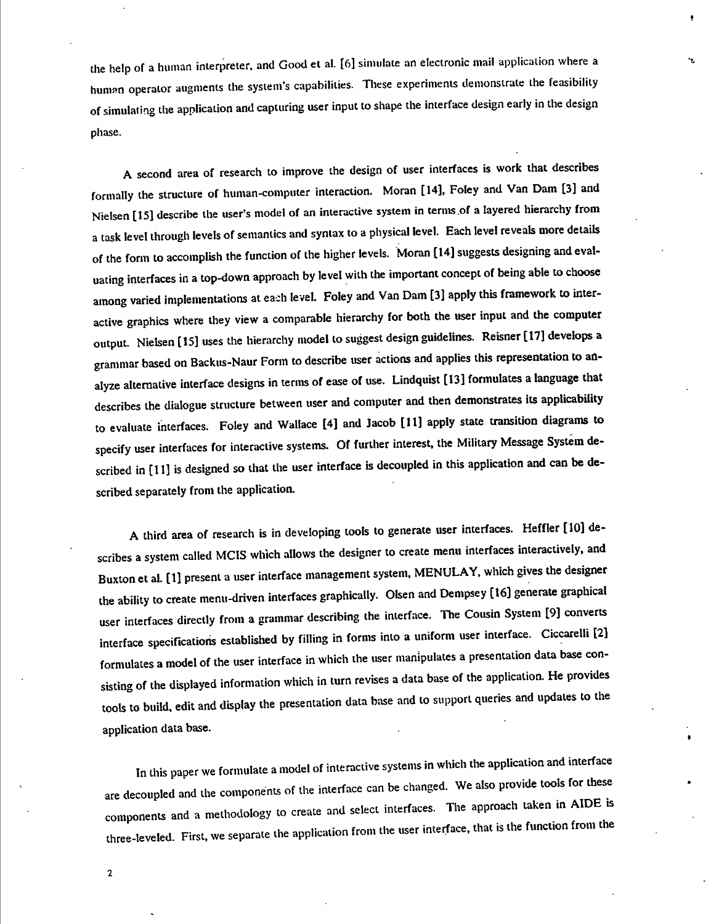the help of a human interpreter, and Good et al. [6] simulate an electronic mail application where a human operator augments the system's capabilities. These experiments demonstrate the feasibility of simulating the application and capturing user input to shape the interface design early in the design phase.

I

A second area of research to improve the design of user interfaces is work that describes formally the structure of human-computer interaction. Moran [14], Foley and Van Dam [3] and Nielsen [15] describe the user's model of an interactive system in terms of a layered hierarchy from a task level through levels of semantics and syntax to a physical level. Each level reveals more details of the form to accomplish the function of the higher levels. Moran [14] suggests designing and evaluating interfaces in a top-down approach by level with the important concept of being able to choose among varied implementations at each level. Foley and Van Dam [3] apply this framework to interactive graphics where they view a comparable hierarchy for both the user input and the computer output. Nielsen [15] uses the hierarchy model to suggest design guidelines. Reisner [17] develops a grammar based on Backus-Naur Form to describe user actions and applies this representation to analyze alternative interface designs in terms of ease of use. Lindquist [13] formulates a language that describes the dialogue structure between user and computer and then demonstrates its applicability to evaluate interfaces. Foley and Wallace [4] and Jacob [11] apply state transition diagrams to specify user interfaces for interactive systems. Of further interest, the Military Message System described in [11] is designed so that the user interface is decoupled in this application and can be described separately from the application.

A third area of research is in developing tools to generate user interfaces. Heffler [10] describes a system called MClS which allows the designer to create menu interfaces interactively, and Buxton et al. [1] present a user interface management system, MENULAY, which gives the designer the ability to create menu-driven interfaces graphically. Olsen and Dempsey [16] generate graphical user interfaces directly from a grammar describing the interface. The Cousin System [9] converts interface specifications established by filling in forms into a uniform user interface. Ciccarelli [2] formulates a model of the user interface in which the user manipulates a presentation data base consisting of the displayed information which in turn revises a data base of the application. He provides tools to build, edit and display the presentation data base and to support queries and updates to the application data base.

In this paper we formulate a model of interactive systems in which the application and interface are decoupled and the components of the interface can he changed. We also provide tools for these components and a methodology to create and select interfaces. The approach taken in AIDE is three-leveled. First, we separate the application from the user interface, that is the function from the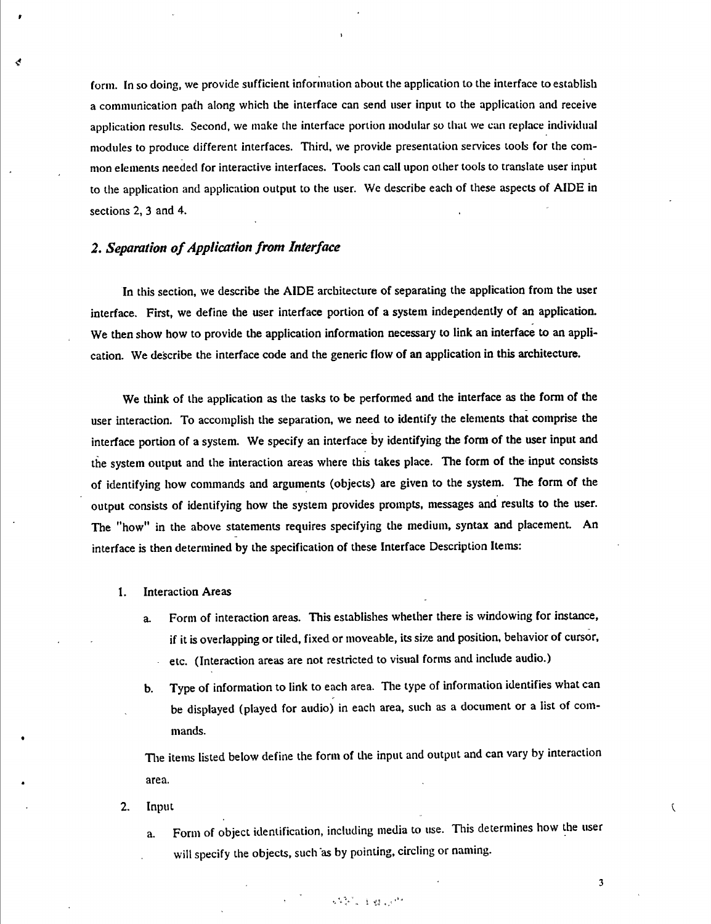form. In so doing, we provide sufficient information about the application to the interface to establish a communication pafh along which the interface can send user input to the application and receive application results. Second, we make the interface portion modular so that we can replace individual modules to produce different interfaces. Third, we provide presentation services tools for the common elements needed for interactive interfaces. Tools can call upon other tools to translate user input to the application and application output to the user. We describe each of these aspects of AIDE in sections 2, 3 and 4.

## **2.** *Separation ofApplication front Interface*

r

In this section, we describe the AIDE architecture of separating the application from the user interface. First, we define the user interface portion of a system independently of an application. We then show how to provide the application information necessary to link an interface to an application. We describe the interface code and the generic flow of an application in this architecture.

We think of the application as the tasks to be performed and the interface as the form of the user interaction. To accomplish the separation, we need to identify the elements that comprise the interface portion of a system. We specify an interface by identifying the form of the user input and the system output and the interaction areas where this takes place. The form of the input consists of identifying how commands and arguments (objects) are given to the system. The form of the output consists of identifying how the system provides prompts, messages and results to the user. The "how" in the above statements requires specifying the medium, syntax and placement. An interface is then determined by the specification of these Interface Description Items:

#### 1. Interaction Areas

- a. Form of interaction areas. This establishes whether there is windowing for instance, if it is overlapping or tiled, fixed or moveable, its size and position, behavior of cursor, etc. (Interaction areas are not restricted to visual forms and include audio.)  $\hat{\mathbf{r}}$
- b. Type of information to link to each area. The type of information identifies what can be displayed (played for audio) in each area, such as a document or a list of commands.

Tlie items listed below define the form of the input and output and can vary by interaction area.

- 2. Input
	- a. Form of object identification, including media to use. This determines how the user will specify the objects, such as by pointing, circling or naming.

**The CAMERON** 

3

 $\overline{\mathcal{L}}$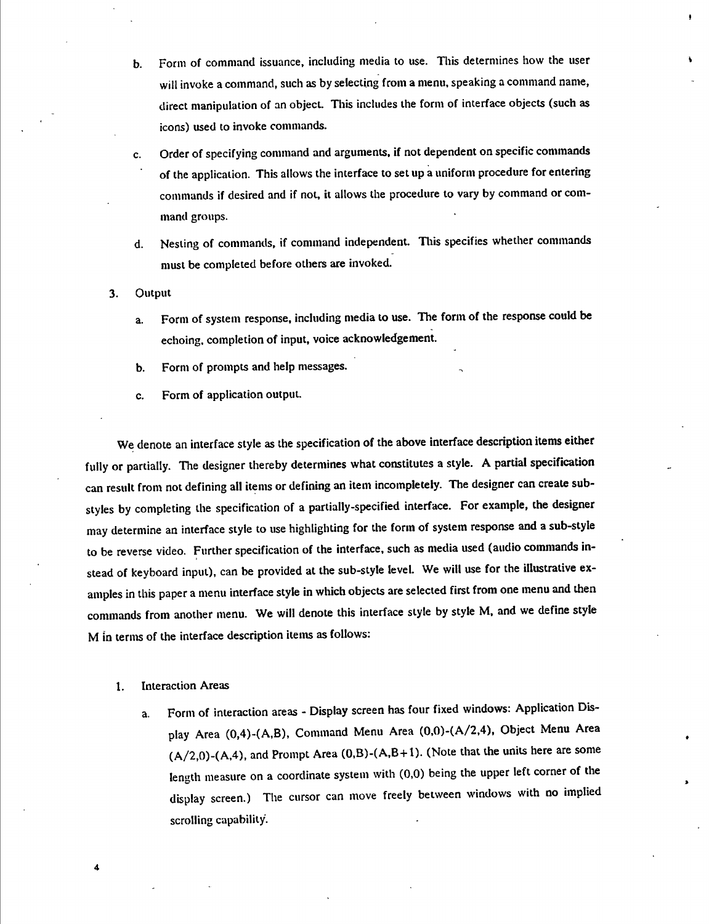b. Form of command issuance, including media to use. This determines how the user will invoke a command, such as by selecting from a menu, speaking a command name, direct manipulation of an object. This includes the form of interface objects (such as icons) used to invoke commands.

f

- c. Order of specifying command and arguments, if not dependent on specific commands of the application. This allows the interface to set up a uniform procedure for entering commands if desired and if not, it allows the procedure to vary by command or command groups.
- d. Nesting of commands, if command independent. This specifies whether commands must be completed before others are invoked.
- 3. Output
	- a. Form of system response, including media to use. The form of the response could be echoing, completion of input, voice acknowledgement.
	- b. Form of prompts and help messages.
	- c. Form of application output.

We denote an interface style as the specification of the above interface description items either fully or partially. The designer thereby determines what constitutes a style. A partial specification can result from not defining all items or defining an item incompletely. The designer can create substyles by completing the specification of a partially-specified interface. For example, the designer may determine an interface style to use highlighting for the form of system response and a sub-style to be reverse video. Further specification of the interface, such as media used (audio commands instead of keyboard input), can be provided at the sub-style level. We will use for the illustrative examples in this paper a menu interface style in which objects are selected first from one menu and then commands from another menu. We will denote this interface style by style M. and we define style M in terms of the interface description items as follows:

1. Interaction Areas

4

a. Form of interaction areas - Display screen has four fixed windows: Application Display Area (0,4)-(A,B), Command Menu Area (0.0)-(A/2,4), Object Menu Area  $(A/2,0)$ - $(A,4)$ , and Prompt Area  $(0,B)$ - $(A,B+1)$ . (Note that the units here are some length measure on a coordinate system with (0,0) being the upper left corner of the display screen.) The cursor can move freely between windows with no implied scrolling capability.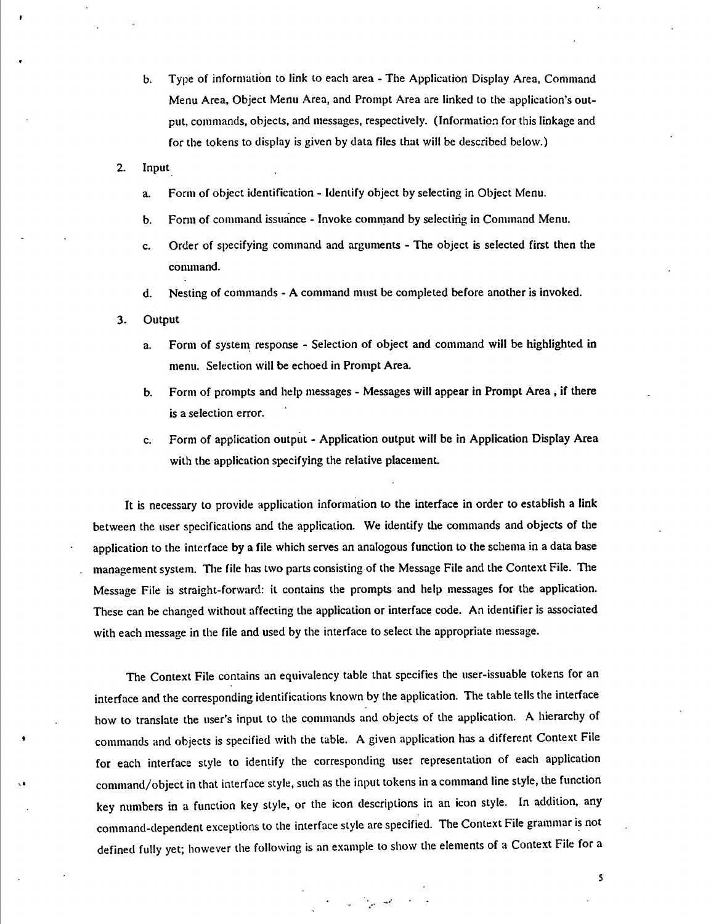- b. Type of information to link to each area The Application Display Area, Command Menu Area, Object Menu Area, and Prompt Area are linked to the application's output, commands, objects, and messages, respectively. (Information for this linkage and for the tokens to display is given by data files that will be described below.)
- 2. Input
	- a. Form of object identification Identify object by selecting in Object Menu.
	- b. Form of command issuance Invoke comniand by selectirig in Command Menu.
	- c. Order of specifying command and arguments The object is selected first then the command.
	- d. Nesting of commands A command must be completed before another is invoked.
- 3. Output
	- a. Form of system response Selection of object and command will be highlighted in menu. Selection will be echoed in Prompt Area.
	- b. Form of prompts and help messages Messages will appear in Prompt Area , if there is a selection error.
	- c. Form of application output Application output will be in Application Display Area with the application specifying the relative placement.

It is necessary to provide application information to the interface in order to establish a link between the user specifications and the application. We identify the commands and objects of the application to the interface by a file which serves an analogous function to the schema in a data base management system. The file has two parts consisting of the Message File and the Context File. The Message File is straight-forward: it contains the prompts and help messages for the application. These can be changed without affecting the application or interface code. An identifier is associated with each message in the file and used by the interface to select the appropriate message.

The Context File contains an equivalency table that specifies the user-issuable tokens for an interface and the corresponding identifications known by the application. The table tells the interface how to translate the user's input to the commands and objects of the application. A hierarchy of commands and objects is specified with the table. A given application has a different Context File for each interface style to identify the corresponding user representation of each application command/object in that interface style, such as the input tokens in a command line style, the function key numbers in a function key style, or the icon descriptions in an icon style. In addition, any command-dependent exceptions to the interface style are specified. The Context File grammar is not defined fully yet; however the following is an example to show the elements of a Context File for a

 $\label{eq:2} \begin{array}{llll} \star & \mathbb{I} & \mathbb{I} & \mathrm{and} & \mathbb{I} \end{array}$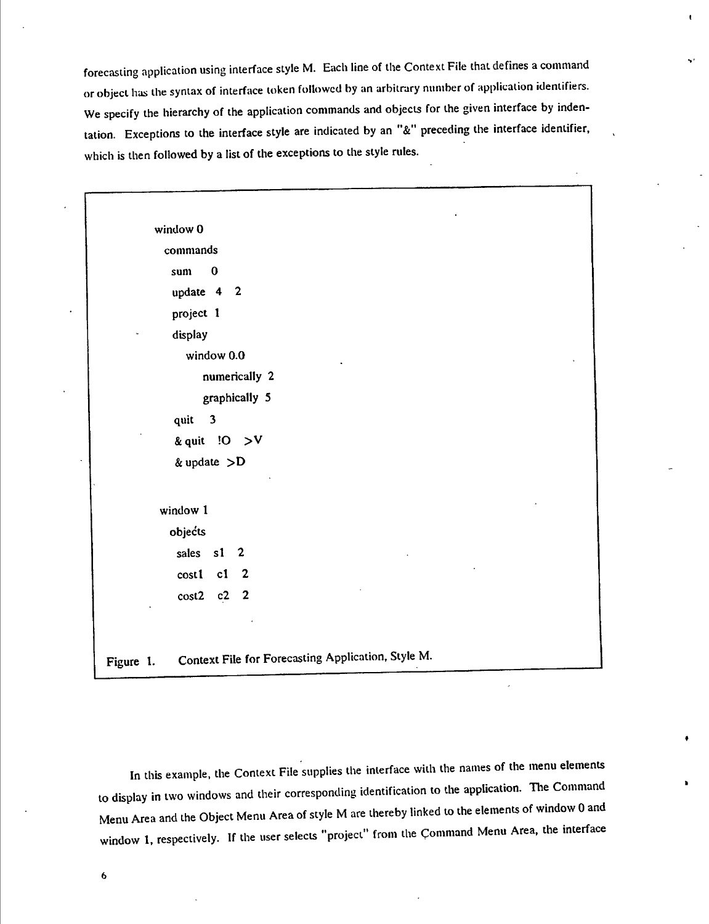forecasting application using interface style M. Each line of the Context File that defines a command or object has the syntax of interface token followed by an arbitrary number of application identifiers. We specify the hierarchy of the application commands and objects for the given interface by indentation. Exceptions to the interface style are indicated by an "&" preceding the interface identifier, which is then followed by a list of the exceptions to the style rules.

window 0 commands sum 0 update 4 2 project <sup>1</sup> display window 0.0 numerically 2 graphically 5 quit 3 & quit !0 **>v** & update  $> D$ window <sup>1</sup> objects sales s1 2 cost1 c1 2 cost2 c2 2 Figure 1. Context File for Forecasting Application, Style M.

In this example, the Context File supplies the interface with the names of the menu elements to display in two windows and their corresponding identification to the application. The Command Menu Area and the Object Menu Area of style M are thereby linked to the elements of window 0 and window 1, respectively. If the user selects "project" from the Command Menu Area, the interface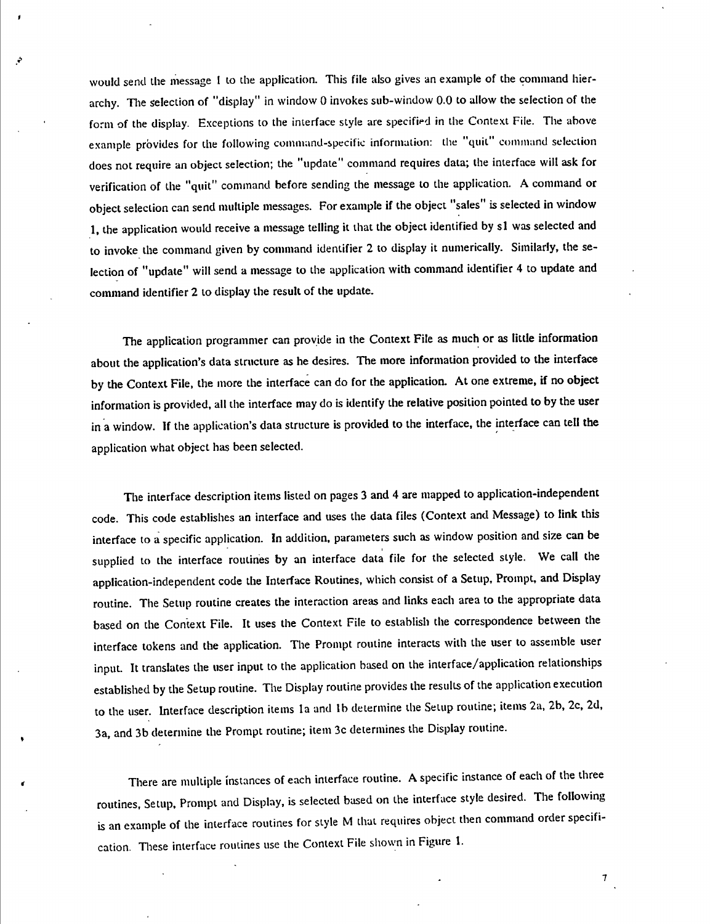would send the message <sup>1</sup> to the application. This file also gives an example of the command hierarchy. The selection of "display" in window 0 invokes sub-window 0.0 to allow the selection of the form of the display. Exceptions to the interface style are specified in the Context File. The above example provides for the following command-specific information: the "quit" command selection does not require an object selection; the "update" command requires data; the interface will ask for verification of the "quit" command before sending the message to the application. A command or object selection can send multiple messages. For example if the object "sales" is selected in window 1, the application would receive a message telling it that the object identified by s1 was selected and to invoke the command given by command identifier 2 to display it numerically. Similarly, the selection of "update" will send a message to the application with command identifier 4 to update and command identifier 2 to display the result of the update.

**I**

The application programmer can provide in the Context File as much or as little information about the application's data structure as he desires. The more information provided to the interface by the Context File, the more the interface can do for the application. At one extreme, if no object information is provided, all the interface may do is identify the relative position pointed to by the user in a window. If the application's data structure is provided to the interface, the interface can tell the application what object has been selected.

The interface description items listed on pages 3 and 4 are mapped to application-independent code. This code establishes an interface and uses the data files (Context and Message) to link this interface to a specific application. In addition, parameters such as window position and size can be supplied to the interface routines by an interface data file for the selected style. We call the application-independent code the Interface Routines, which consist of a Setup, Prompt, and Display routine. The Setup routine creates the interaction areas and links each area to the appropriate data based on the Context File. It uses the Context File to establish the correspondence between the interface tokens and the application. The Prompt routine interacts with the user to assemble user input. It translates the user input to the application based on the interface/application relationships established by the Setup routine. The Display routine provides the results of the application execution to the user. Interface description items la and lb determine the Setup routine; items 2a, 2b, 2c, 2d, 3a, and 3b determine the Prompt routine; item 3c determines the Display routine.

There are multiple instances of each interface routine. A specific instance of each of the three routines. Setup. Prompt and Display, is selected based on the interface style desired. The following is an example of the interface routines for style M that requires object then command order specification. These interface routines use the Context File shown in Figure 1.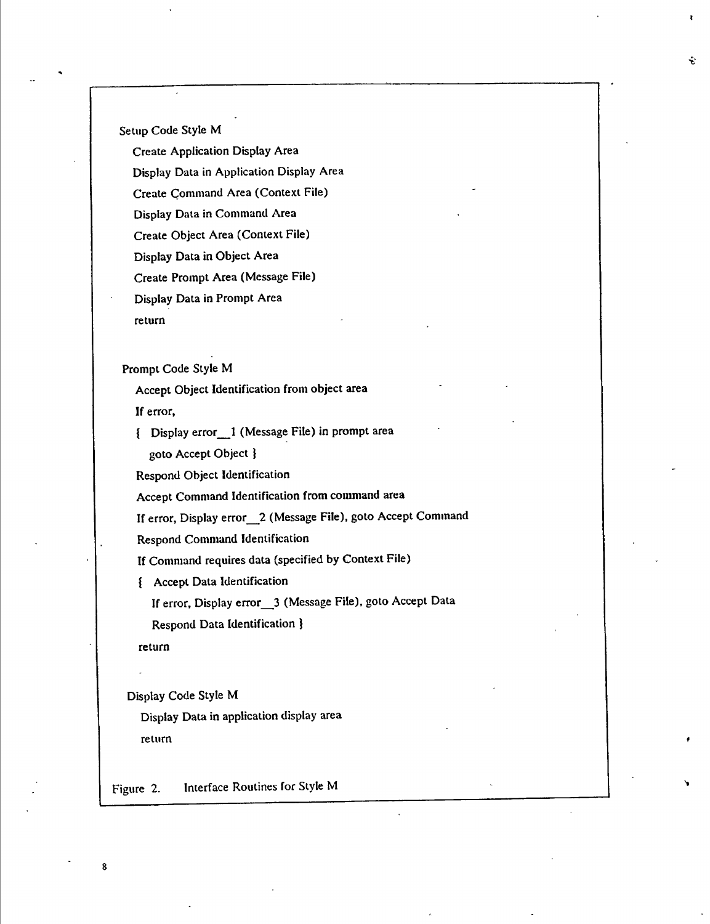Setup Code Style M

Create Application Display Area Display Data in Application Display Area Create Command Area (Context File) Display Data in Command Area Create Object Area (Context File) Display Data in Object Area Create Prompt Area (Message File) Display Data in Prompt Area return

Prompt Code Style M

Accept Object Identification from object area If error,

{ Display error\_\_1 (Message File) in prompt area goto Accept Object}

Respond Object Identification

Accept Command Identification from command area

If error, Display error\_\_*2* (Message File), goto Accept Command

Respond Command Identification

If Command requires data (specified by Context File)

{ Accept Data Identification

If error. Display error\_\_3 (Message File), goto Accept Data

Respond Data Identification }

return

g

Display Code Style M

Display Data in application display area return

Figure 2. Interface Routines for Style M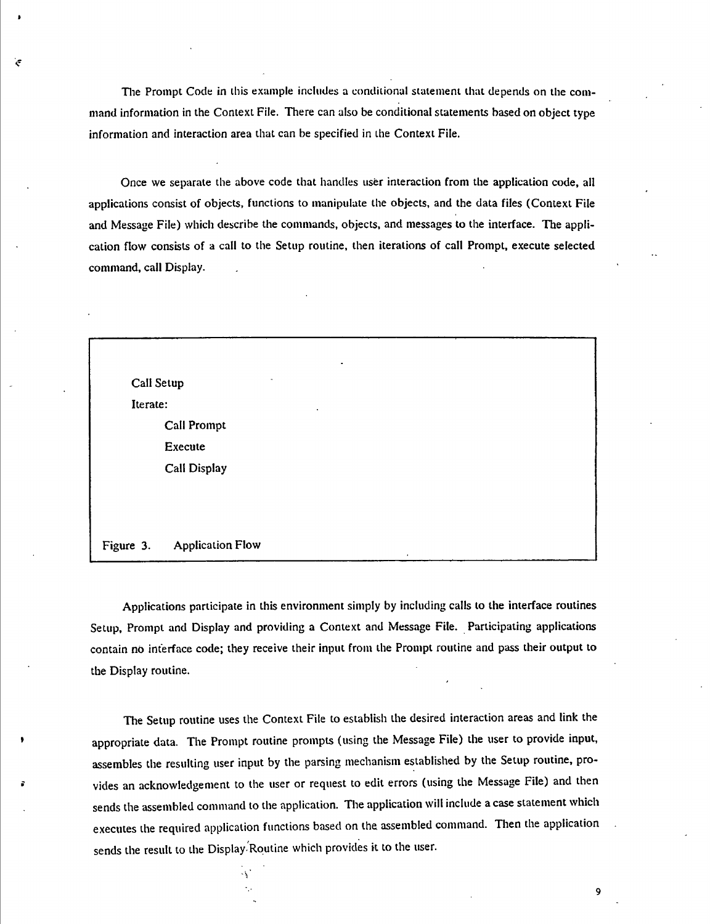Tlie Prompt Code in this example includes a conditional statement that depends on the command information in the Context File. There can also be conditional statements based on object type information and interaction area that can be specified in the Context File.

Once we separate the above code that handles user interaction from the application code, all applications consist of objects, functions to manipulate the objects, and the data files (Context File and Message File) which describe the commands, objects, and messages to the interface. The application flow consists of a call to the Setup routine, then iterations of call Prompt, execute selected command, call Display.



Applications participate in this environment simply by including calls to the interface routines Setup, Prompt and Display and providing a Context and Message File. Participating applications contain no interface code; they receive their input from the Prompt routine and pass their output to the Display routine.

The Setup routine uses the Context File to establish the desired interaction areas and link the appropriate data. The Prompt routine prompts (using the Message File) the user to provide input, assembles the resulting user input by the parsing mechanism established by the Setup routine, provides an acknowledgement to the user or request to edit errors (using the Message File) and then sends the assembled command to the application. The application will include a case statement which executes the required application functions based on the assembled command. Then the application sends the result to the Display Routine which provides it to the user.

9

 $\mathcal{C}$ 

**I**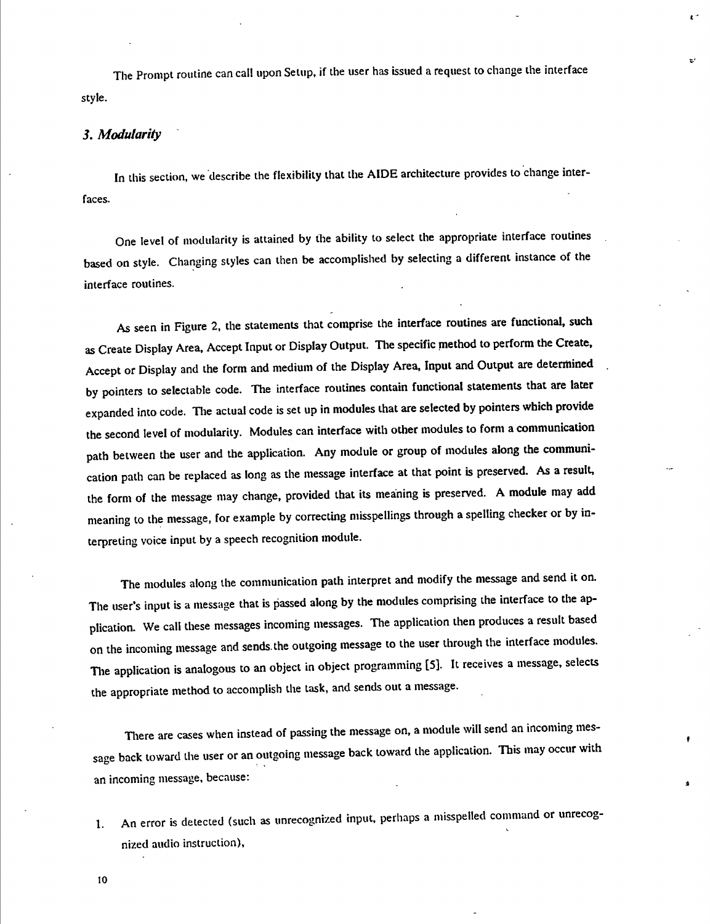The Prompt routine can call upon Setup, if the user has issued a request to change the interface style.

Ł.

ъł

#### *3. Modularity*

In this section, we describe the flexibility that the AIDE architecture provides to change interfaces.

One level of modularity is attained by the ability to select the appropriate interface routines based on style. Changing styles can then be accomplished by selecting a different instance of the interface routines.

As seen in Figure 2, the statements that comprise the interface routines are functional, such as Create Display Area, Accept Input or Display Output. The specific method to perform the Create, Accept or Display and the form and medium of the Display Area, Input and Output are determined by pointers to selectable code. The interface routines contain functional statements that are later expanded into code. The actual code is set up in modules that are selected by pointers which provide the second level of modularity. Modules can interface with other modules to form a communicatíon path between the user and the application. Any module or group of modules along the communication path can be replaced as long as the message interface at that point is preserved. As a result, the form of the message may change, provided that its meaning is preserved. A module may add meaning to the message, for example by correcting misspellings through a spelling checker or by interpreting voice input by a speech recognition module.

The modules along the communication path interpret and modify the message and send it on. The user's input is a message that is passed along by the modules comprising the interface to the application. We call these messages incoming messages. The application then produces a result based on the incoming message and sends, the outgoing message to the user through the interface modules. The application is analogous to an object in object programming [5]. It receives a message, selects the appropriate method to accomplish the task, and sends out a message.

There are cases when instead of passing the message on, a module will send an incoming message back toward the user or an outgoing message back toward the application. This may occur with an incoming message, because;

1. An error is detected (such as unrecognized input, perhaps a misspelled command or unrecognized audio instruction).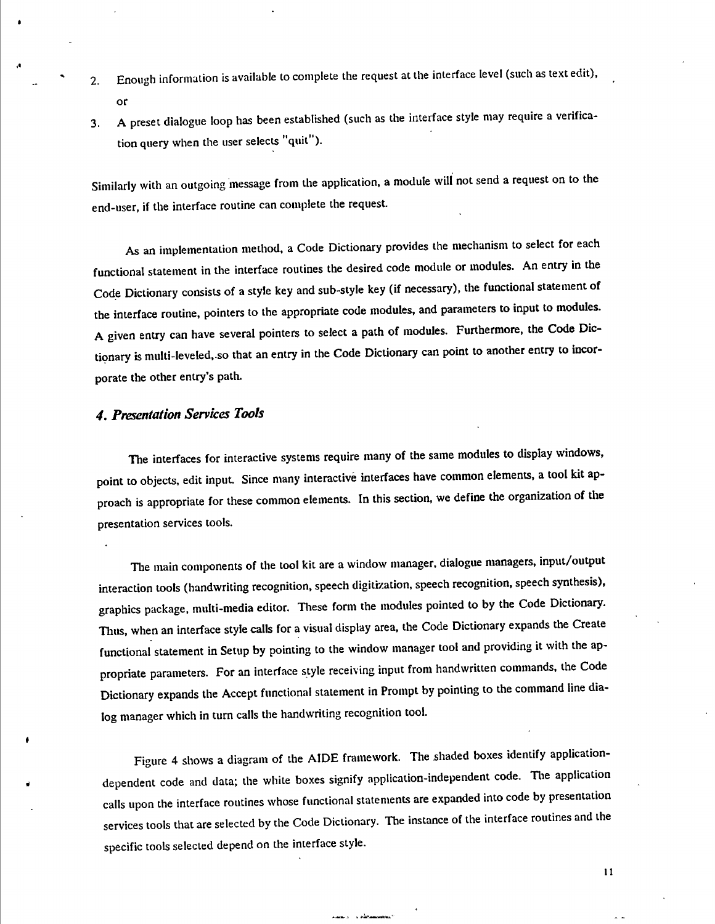- 2. Enough information is available to complete the request at the interface level (such as text edit), or
- 3. A preset dialogue loop has been established (such as the Interface style may require a verification query when the user selects "quit").

Similarly with an outgoing message from the application, a module will not send a request on to the end-user, if the interface routine can complete the request.

As an implementation method, a Code Dictionary provides the mechanism to select for each functional statement in the interface routines the desired code module or modules. An entry in the Code Dictionary consists of a style key and sub-style key (if necessary), the functional statement of the interface routine, pointers to the appropriate code modules, and parameters to input to modules. A given entry can have several pointers to select a path of modules. Furthermore, the Code Dictionary is multi-leveled..so that an entry in the Code Dictionary can point to another entry to incorporate the other entry's path.

## *4. Presentation Services Took*

The interfaces for interactive systems require many of the same modules to display windows, point to objects, edit input. Since many interactivé interfaces have common elements, a tool kit approach is appropriate for these common elements. In this section, we define the organization of the presentation services tools.

The main components of the tool kit are a window manager, dialogue managers, input/output interaction tools (handwriting recognition, speech digitization, speech recognition, speech synthesis), graphics package, multi-media editor. These form the modules pointed to by the Code Dictionary. Thus, when an interface style calls for a visual display area, the Code Dictionary expands the Create functional statement in Setup by pointing to the window manager tool and providing it with the appropriate parameters. For an interface style receiving input from handwritten commands, the Code Dictionary expands the Accept functional statement in Prompt by pointing to the command line dialog manager which in turn calls the handwriting recognition tool.

Figure 4 shows a diagram of the AIDE framework. The shaded boxes identify applicationdependent code and data; the white boxes signify application-independent code. The application calls upon the interface routines whose functional statements are expanded into code by presentation services tools that are selected by the Code Dictionary. The instance of the interface routines and the specific tools selected depend on the interface style.

ستشرد ويسد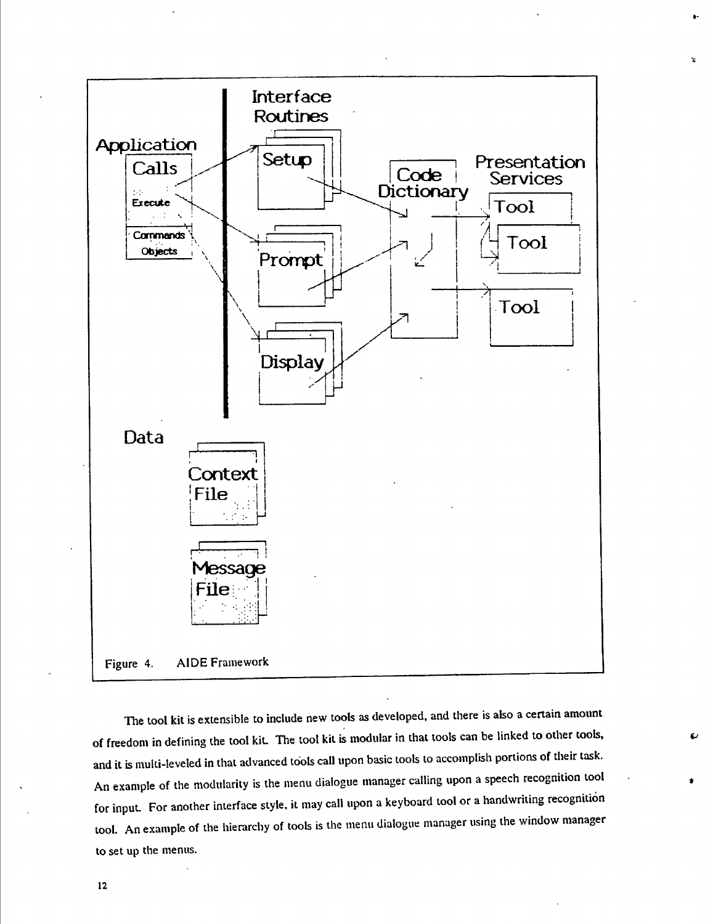

*X*

The tool kit is extensible to include new tools as developed, and there is also a certain amount of freedom in defining the tool kiL The tool kit is modular in that tools can be linked to other tools, and it is multi-leveled in that advanced tools call upon basic tools to accomplish portions of their task. An example of the modularity is the menu dialogue manager calling upon a speech recognition tool for input. For another interface style, it may call upon a keyboard tool or a handwriting recognition tool. An example of the hierarchy of tools is the menu dialogue manager using the window manager to set up the menus.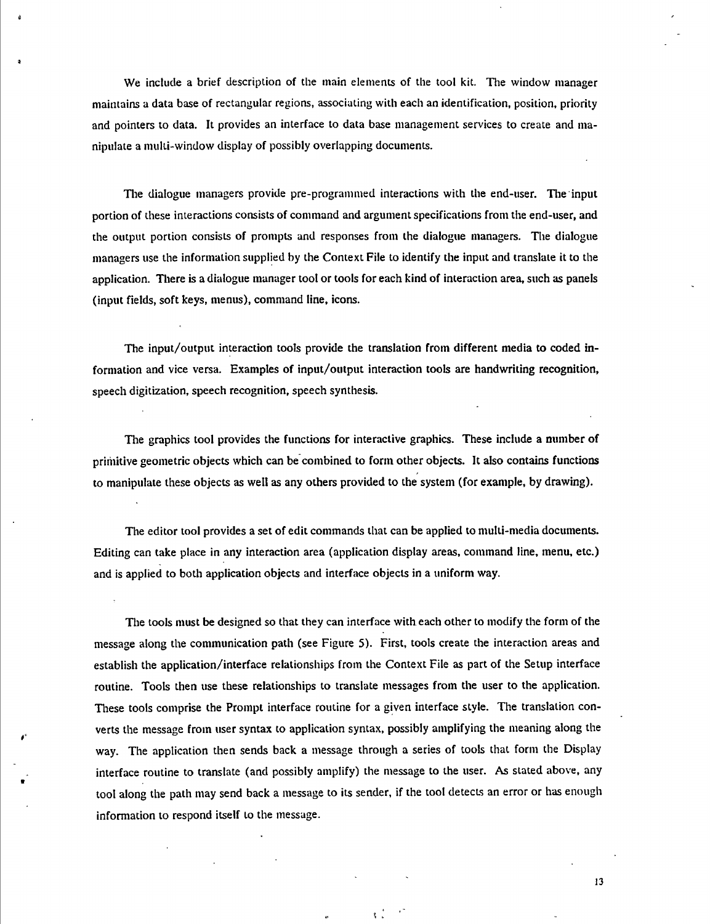We include a brief description of the main elements of the tool kit. The window manager maintains a data base of rectangular regions, associating with each an identification, position, priority and pointers to data. It provides an interface to data base management services to create and manipulate a multi-window display of possibly overlapping documents.

ò

The dialogue managers provide pre-programmed interactions with the end-user. The input portion of these interactions consists of command and argument specifications from the end-user, and the output portion consists of prompts and responses from the dialogue managers. The dialogue managers use the information supplied by the Context File to identify the input and translate it to the application. There is a dialogue manager tool or tools for each kind of interaction area, such as panels (input fields, soft keys, menus), command line, icons.

The input/output interaction tools provide the translation from different media to coded information and vice versa. Examples of input/output interaction tools are handwriting recognition, speech digitization, speech recognition, speech synthesis.

The graphics tool provides the functions for interactive graphics. These include a number of prihiitive geometric objects which can be combined to form other objects. It also contains functions to manipulate these objects as well as any others provided to the system (for example, by drawing).

The editor tool provides a set of edit commands that can be applied to multi-media documents. Editing can take place in any interaction area (application display areas, command line, menu, etc.) and is applied to both application objects and interface objects in a uniform way.

The tools must be designed so that they can interface with each other to modify the form of the message along the communication path (see Figure 5). First, tools create the interaction areas and establish the application/interface relationships from the Context File as part of the Setup interface routine. Tools then use these relationships to translate messages from the user to the application. These tools comprise the Prompt interface routine for a given interface style. The translation converts the message from user syntax to application syntax, possibly amplifying the meaning along the way. The application then sends back a message through a series of tools that form the Display interface routine to translate (and possibly amplify) the message to the user. As stated above, any tool along the path may send back a message to its sender, if the tool detects an error or has enough information to respond itself to the message.

 $\ddot{\mathbf{t}}$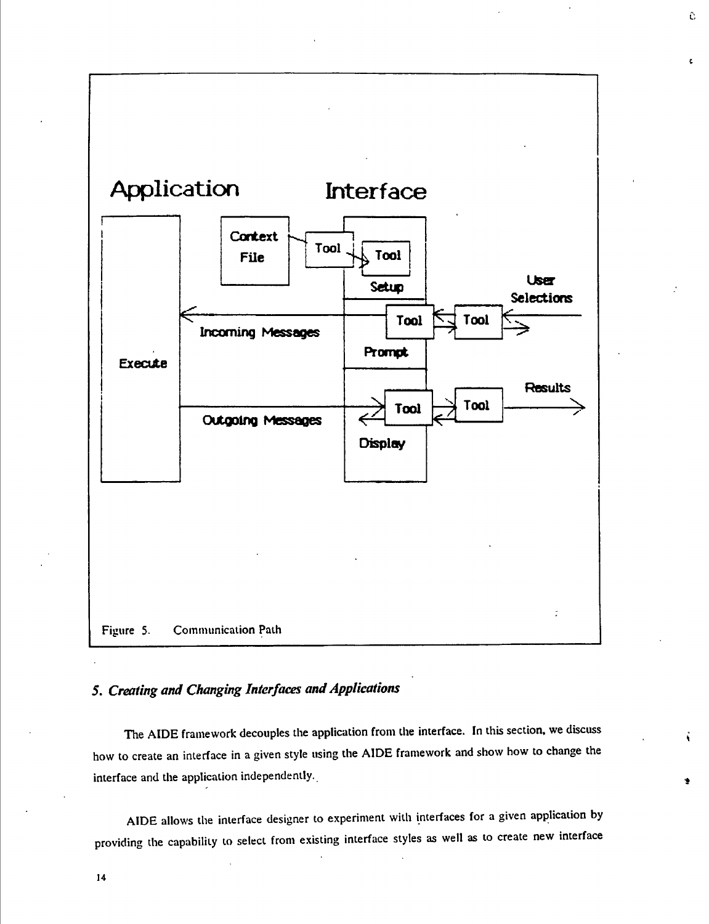**Application Interface** Context Tool Tool **File User** Setup **Selections** Tool Tool **Incoming Messages Prompt Execute Results** Tool Tool **Outgoing Messages Display** t Figure 5. Communicaiion Path

Ĉ.

# **5.** *Creating and Changing Interfa<xs andApplications*

The AIDE framework decouples the application from the interface. In this section, we discuss how to create an interface in a given style using the AIDE framework and show how to change the interface and the application independently.

AIDE allows the interface designer to experiment with interfaces for a given application by providing the capability to select from existing interface styles as well as to create new interface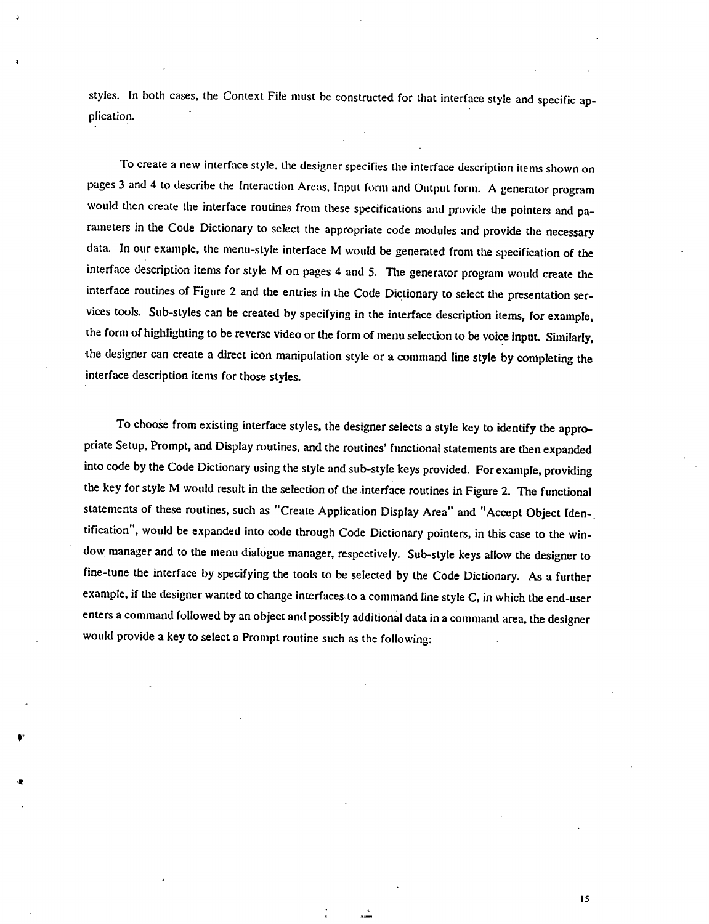styles. In both cases, the Context File must be constructed for that interface style and specific application.

à

**r**

To create a new interface style, the designer specifies the interface description items shown on pages 3 and 4 to describe the Interaction Areas. Input form and Output form. A generator program would then create the interface routines from these specifications and provide the pointers and parameters in the Code Dictionary to select the appropriate code modules and provide the necessary data. In our example, the menu-style interface M would be generated from the specification of the interface description items for style M on pages 4 and 5. The generator program would create the interface routines of Figure 2 and the entries in the Code Dictionary to select the presentation services tools. Sub-styles can be created by specifying in the interface description items, for example, the form of highlighting to be reverse video or the form of menu selection to be voice input. Similarly, the designer can create a direct icon manipulation style or a command line style by completing the interface description items for those styles.

To choose from existing interface styles, the designer selects a style key to identify the appropriate Setup, Prompt, and Display routines, and the routines' functional statements are then expanded into code by the Code Dictionary using the style and sub-style keys provided. For example, providing the key for style M would result in the selection of the interface routines in Figure 2. The functional statements of these routines, such as "Create Application Display Area" and "Accept Object Identification", would be expanded into code through Code Dictionary pointers, in this case to the window, manager and to the menu dialogue manager, respectively. Sub-style keys allow the designer to fine-tune the interface by specifying the tools to be selected by the Code Dictionary. As a further example, if the designer wanted to change interfaces to a command line style C, in which the end-user enters a command followed by an object and possibly additional data in a command area, the designer would provide a key to select a Prompt routine such as the following:

盖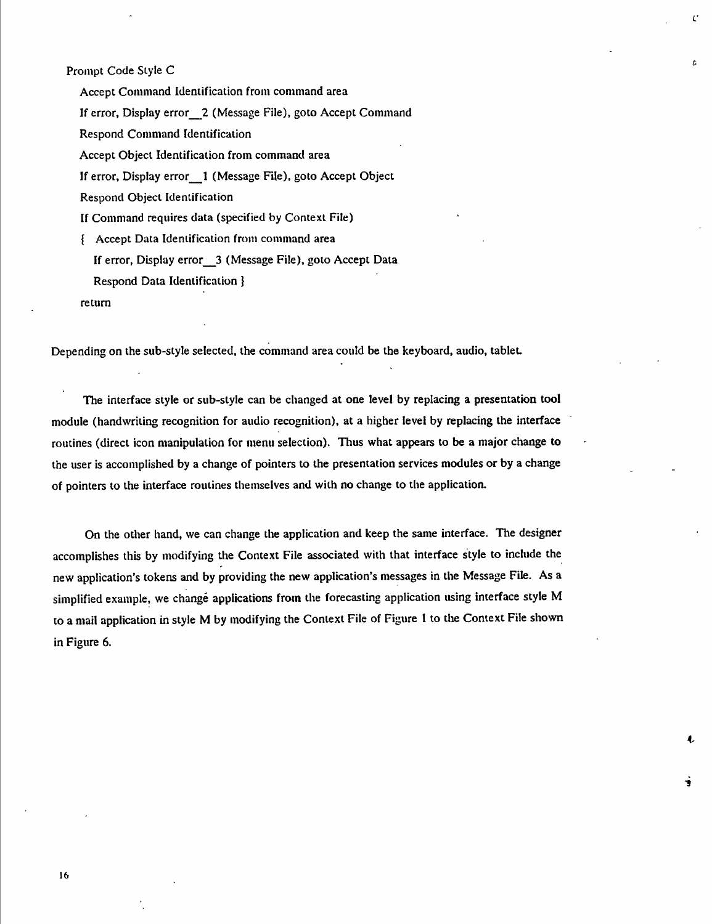#### Prompt Code Style C

Accept Command Identification from command area

If error. Display error\_\_*2* (Message File), goto Accept Command

í.\*

ċ.

**-t**

■t

Respond Command Identification

Accept Object Identification from command area

If error. Display error\_\_1 (Message File), goto Accept Object

Respond Object Identification

If Command requires data (specified by Context File)

{ Accept Data Identification from command area

If error. Display error\_\_3 (Message File), goto Accept Data

Respond Data Identification }

return

Depending on the sub-style selected, the command area could be the keyboard, audio, tablet

The interface style or sub-style can be changed at one level by replacing a presentation tool module (handwriting recognition for audio recognition), at a higher level by replacing the interface routines (direct icon manipulation for menu selection). Thus what appears to be a major change to the user is accomplished by a change of pointers to the presentation services modules or by a change of pointers to the interface routines themselves and with no change to the application.

On the other hand, we can change the application and keep the same interface. The designer accomplishes this by modifying the Context File associated with that interface style to include the new application's tokens and by providing the new application's messages in the Message File. As a simplified example, we changé applications from the forecasting application using interface style M to a mail application in style M by modifying the Context File of Figure <sup>1</sup> to the Context File shown in Figure 6.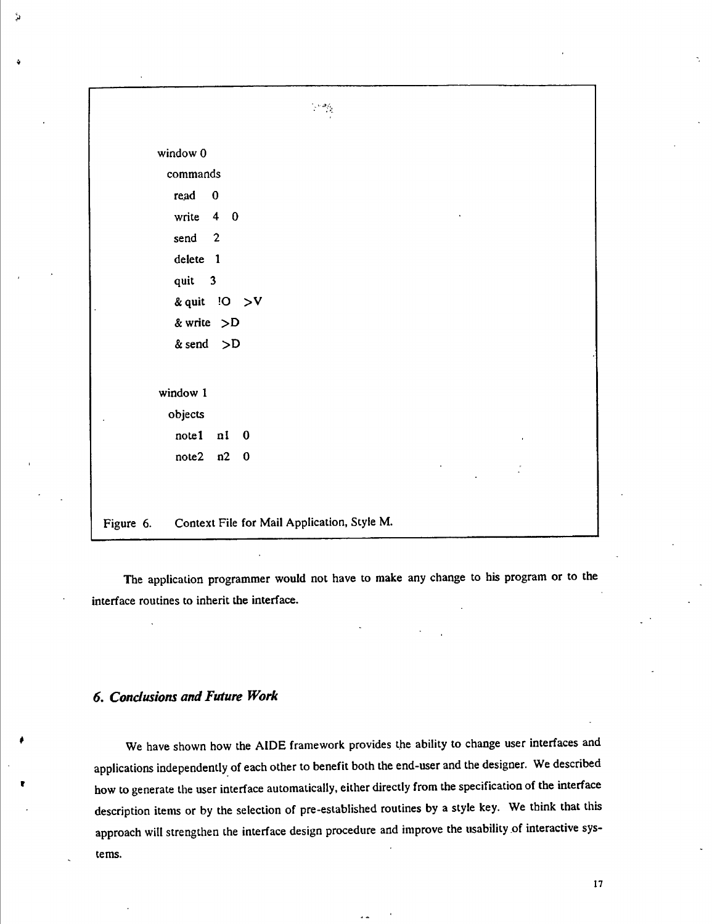

The application programmer would not have to make any change to his program or to the interface routines to inherit the interface.

#### *6. Conclusions andFuture Work*

**»**

٠,

We have shown how the AIDE framework provides the ability to change user interfaces and applications independently of each other to benefit both the end-user and the designer. We described how to generate the user interface automatically, either directly from the specification of the interface description items or by the selection of pre-established routines by a style key. We think that this approach will strengthen the interface design procedure and improve the usability of interactive systems.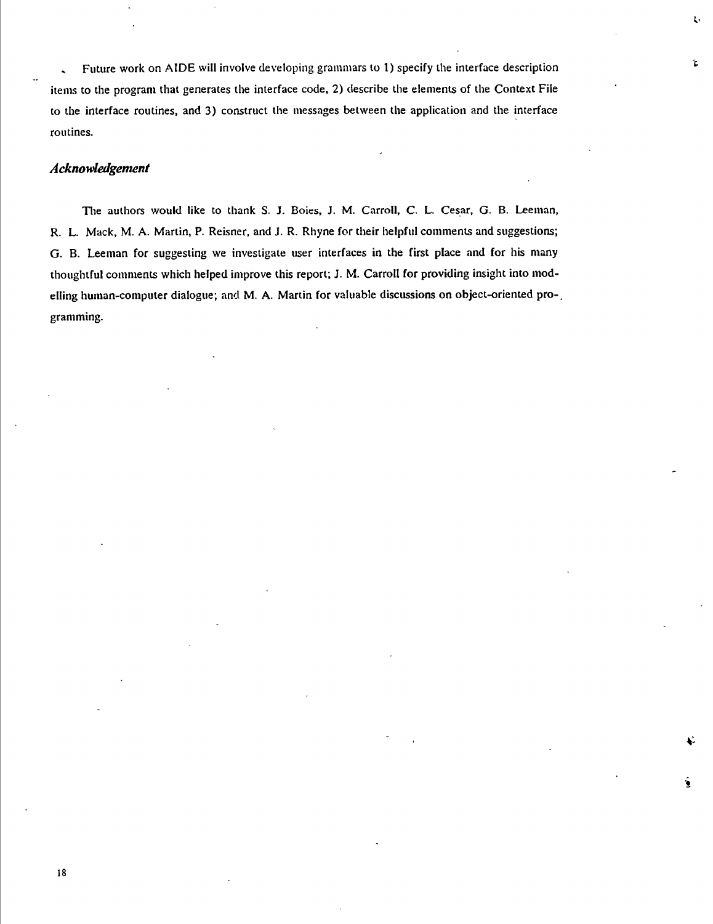, Future work on AIDE will involve developing grammars to 1) specify the interface description items to the program that generates the interface code, 2) describe the elements of the Context File to the interface routines, and 3) construct the messages between the application and the interface routines.

*h*

Ŀ.

ÿ.

# *Acknowledgement*

18

The authors would like to thank S. J. Boies, J. M. Carroll, C. L. Cesar, G. B. Leeman, R. L. Mack, M. A. Martin, P. Reisner, and J. R. Rhyne for their helpful comments and suggestions; G. B. Leeman for suggesting we investigate user interfaces in the first place and for his many thoughtful comments which helped improve this report; J. M. Carroll for providing insight into modelling human-computer dialogue; and M. A. Martin for valuable discussions on object-oriented programming.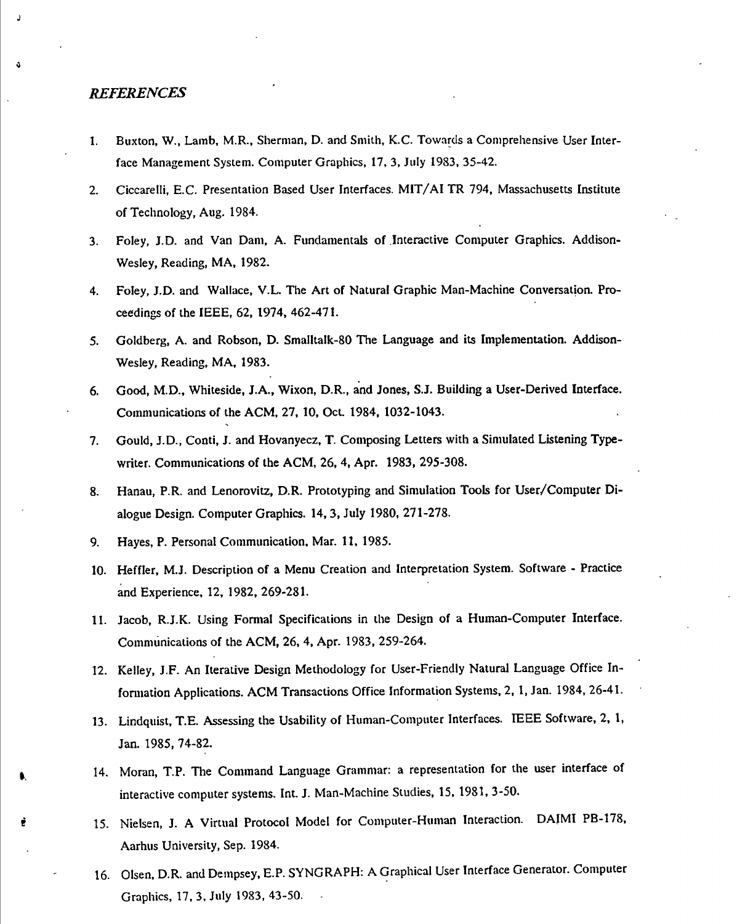#### *REFERENCES*

*J*

*i*

- 1. Buxton, W., Lamb, M.R., Sherman, D. and Smith, K.C. Towards a Comprehensive User Interface Management System. Computer Graphics, 17, 3, July 1983, 35-42.
- 2. Ciccarelli, E.C. Presentation Based User Interfaces. MIT/AITR 794, Massachusetts Institute of Technology, Aug. 1984.
- 3. Foley, J.D. and Van Dam, A. Fundamentals of Interactive Computer Graphics. Addison-Wesley, Reading, MA, 1982.
- 4. Foley, J.D. and Wallace, V.L. The Art of Natural Graphic Man-Machine Conversation. Proceedings of the IEEE, 62, 1974, 462-471.
- 5. Goldberg, A. and Robson, D. SmaIltaIk-80 The Language and its Implementation. Addison-Wesley, Reading, MA, 1983.
- 6. Good, M.D., Whiteside, J.A., Wixon, D.R., and Jones, S.J. Building a User-Derived Interface. Communications of the ACM, 27, 10, Oct. 1984, 1032-1043.
- 7. Gould, J.D., Conti, J. and Hovanyecz, T. Composing Letters with a Simulated Listening Typewriter. Communications of the ACM, 26, 4, Apr. 1983, 295-308.
- 8. Hanau, P.R. and Lenorovitz, D.R. Prototyping and Simulation Tools for User/Computer Dialogue Design. Computer Graphics. 14,3, July 1980, 271-278.
- 9. Hayes, P. Personal Communication, Mar. 11, 1985.
- 10. Heffler, M.J. Description of a Menu Creation and Interpretation System. Software Practice and Experience, 12, 1982, 269-281.
- 11. Jacob, R.J.K. Using Formal Specifications in the Design of a Human-Computer Interface. Communications of the ACM, 26, 4, Apr. 1983, 259-264.
- 12. Kelley, J.F. An Iterative Design Methodology for User-Friendly Natural Language Office Information Applications. ACM Transactions Office Information Systems, 2, 1, Jan. 1984, 26-41.
- 13. Lindquist, T.E. Assessing the Usability of Human-Computer Interfaces. IEEE Software, 2, 1, Jan. 1985, 74-82.
- 14. Moran, T.P. The Command Language Grammar: a representation for the user interface of interactive computer systems. Int. J. Man-Machine Studies, 15, 1981, 3-50.
- *f* 15. Nielsen, J. A Virtual Protocol Model for Computer-Human Interaction. DAIMI PB-178, Aarhus University, Sep. 1984.
- 16. Olsen, D.R. and Dempsey, E.P. SYNGRAPH; A Graphical User Interface Generator. Computer Graphics, 17, 3, July 1983, 43-50.